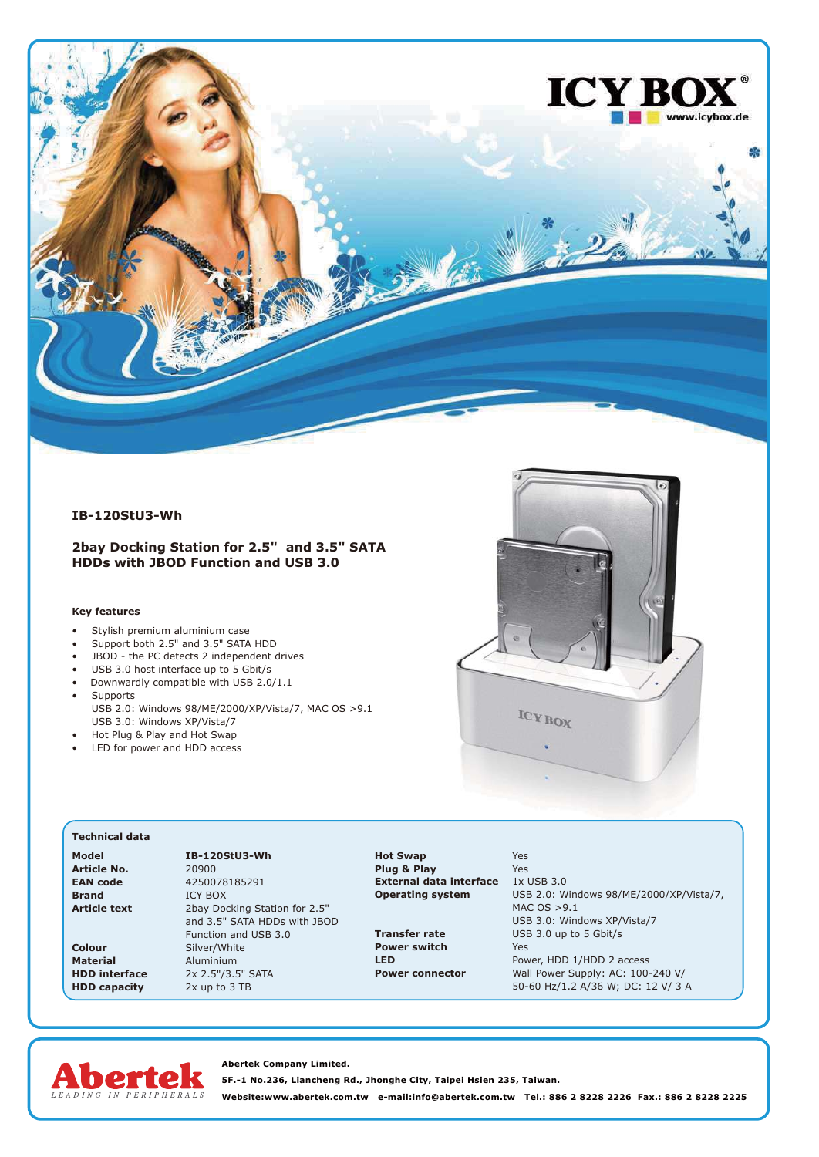

## **IB-120StU3-Wh**

## **2bay Docking Station for 2.5" and 3.5" SATA HDDs with JBOD Function and USB 3.0**

## **Key features**

- Stylish premium aluminium case
- Support both 2.5" and 3.5" SATA HDD
- JBOD the PC detects 2 independent drives
- USB 3.0 host interface up to 5 Gbit/s • Downwardly compatible with USB 2.0/1.1
- **Supports**
- USB 2.0: Windows 98/ME/2000/XP/Vista/7, MAC OS >9.1 USB 3.0: Windows XP/Vista/7

**Model IB-120StU3-Wh**

- Hot Plug & Play and Hot Swap
- LED for power and HDD access



## **Technical data**

| Model           |
|-----------------|
| Article No.     |
| <b>EAN</b> code |
| <b>Brand</b>    |
| Article text    |

**Article No.** 20900 **EAN code** 4250078185291 **ICY BOX** 2bay Docking Station for 2.5" and 3.5" SATA HDDs with JBOD Function and USB 3.0 **Colour** Silver/White<br> **Material** Aluminium **Material** Aluminium<br>**HDD interface** 2x 2.5"/3.5 2x 2.5"/3.5" SATA **HDD capacity** 2x up to 3 TB

**Hot Swap** Yes **Plug & Play** Yes<br>**External data interface** 1x USB 3.0 **External data interface<br>Operating system** 

**Power switch** Yes

**Operating system** USB 2.0: Windows 98/ME/2000/XP/Vista/7, MAC OS >9.1 USB 3.0: Windows XP/Vista/7 **Transfer rate** USB 3.0 up to 5 Gbit/s **LED** Power, HDD 1/HDD 2 access<br> **Power connector** Wall Power Supply: AC: 100-Wall Power Supply: AC: 100-240 V/ 50-60 Hz/1.2 A/36 W; DC: 12 V/ 3 A



**Abertek Company Limited. 5F.-1 No.236, Liancheng Rd., Jhonghe City, Taipei Hsien 235, Taiwan. Website:www.abertek.com.tw e-mail:info@abertek.com.tw Tel.: 886 2 8228 2226 Fax.: 886 2 8228 2225**